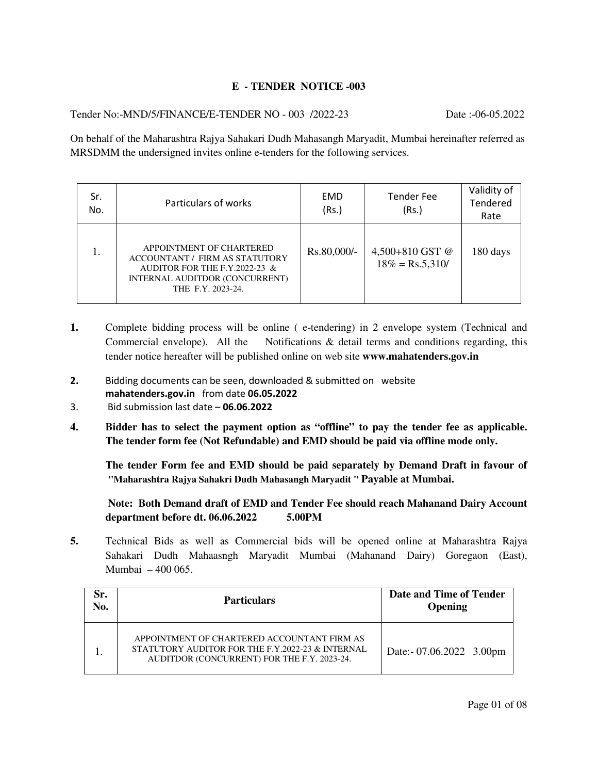### **E - TENDER NOTICE -003**

Tender No:-MND/5/FINANCE/E-TENDER NO - 003 /2022-23 Date :-06-05.2022

On behalf of the Maharashtra Rajya Sahakari Dudh Mahasangh Maryadit, Mumbai hereinafter referred as MRSDMM the undersigned invites online e-tenders for the following services.

| Sr.<br>No. | Particulars of works                                                                                                                               | <b>EMD</b><br>(Rs.) | <b>Tender Fee</b><br>(Rs.)                   | Validity of<br>Tendered<br>Rate |
|------------|----------------------------------------------------------------------------------------------------------------------------------------------------|---------------------|----------------------------------------------|---------------------------------|
|            | APPOINTMENT OF CHARTERED<br>ACCOUNTANT / FIRM AS STATUTORY<br>AUDITOR FOR THE F.Y.2022-23 &<br>INTERNAL AUDITDOR (CONCURRENT)<br>THE F.Y. 2023-24. | Rs.80,000/-         | 4,500+810 GST @<br>$18\% = \text{Rs}.5,310/$ | 180 days                        |

- **1.** Complete bidding process will be online (e-tendering) in 2 envelope system (Technical and Commercial envelope). All the Notifications & detail terms and conditions regarding, this tender notice hereafter will be published online on web site **www.mahatenders.gov.in**
- **2.** Bidding documents can be seen, downloaded & submitted on website **mahatenders.gov.in** from date **06.05.2022**
- 3. Bid submission last date **06.06.2022**
- **4. Bidder has to select the payment option as "offline" to pay the tender fee as applicable. The tender form fee (Not Refundable) and EMD should be paid via offline mode only.**

 **The tender Form fee and EMD should be paid separately by Demand Draft in favour of "Maharashtra Rajya Sahakri Dudh Mahasangh Maryadit " Payable at Mumbai.** 

 **Note: Both Demand draft of EMD and Tender Fee should reach Mahanand Dairy Account department before dt. 06.06.2022 5.00PM** 

**5.** Technical Bids as well as Commercial bids will be opened online at Maharashtra Rajya Sahakari Dudh Mahaasngh Maryadit Mumbai (Mahanand Dairy) Goregaon (East), Mumbai – 400 065.

| Sr.<br>No. | <b>Particulars</b>                                                                                                                             | Date and Time of Tender<br><b>Opening</b> |
|------------|------------------------------------------------------------------------------------------------------------------------------------------------|-------------------------------------------|
|            | APPOINTMENT OF CHARTERED ACCOUNTANT FIRM AS<br>STATUTORY AUDITOR FOR THE F.Y.2022-23 & INTERNAL<br>AUDITDOR (CONCURRENT) FOR THE F.Y. 2023-24. | Date:- 07.06.2022 3.00pm                  |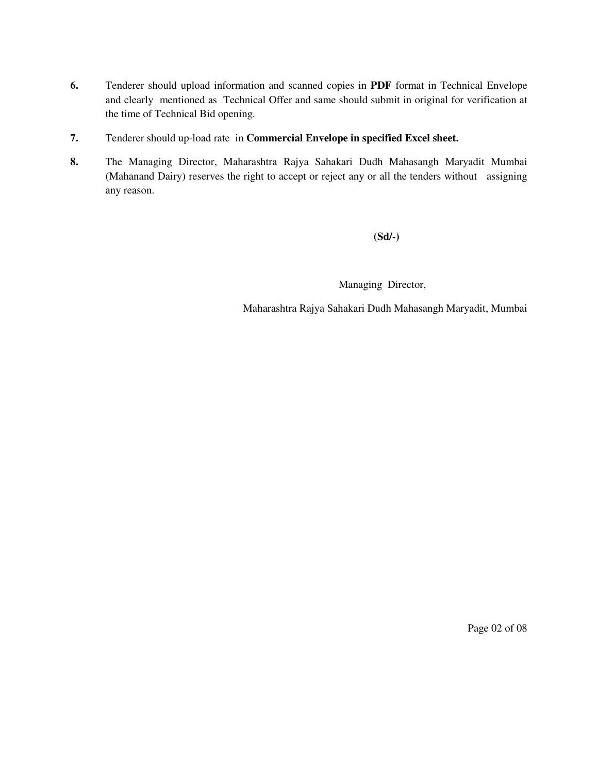- **6.** Tenderer should upload information and scanned copies in **PDF** format in Technical Envelope and clearly mentioned as Technical Offer and same should submit in original for verification at the time of Technical Bid opening.
- **7.** Tenderer should up-load rate in **Commercial Envelope in specified Excel sheet.**
- **8.** The Managing Director, Maharashtra Rajya Sahakari Dudh Mahasangh Maryadit Mumbai (Mahanand Dairy) reserves the right to accept or reject any or all the tenders without assigning any reason.

**(Sd/-)** 

Managing Director,

Maharashtra Rajya Sahakari Dudh Mahasangh Maryadit, Mumbai

Page 02 of 08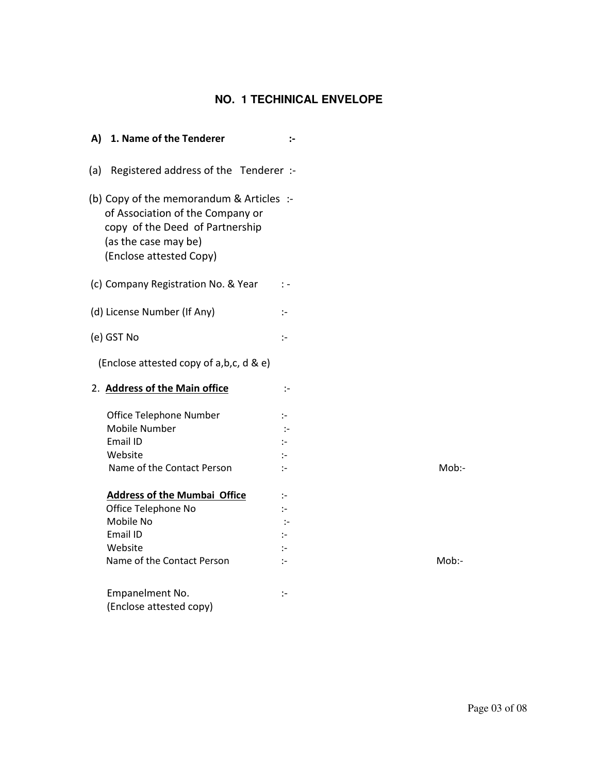# **NO. 1 TECHINICAL ENVELOPE**

| 1. Name of the Tenderer<br>A)                                                                                                                                      | $\mathbf{L}$         |       |
|--------------------------------------------------------------------------------------------------------------------------------------------------------------------|----------------------|-------|
| Registered address of the Tenderer :-<br>(a)                                                                                                                       |                      |       |
| (b) Copy of the memorandum & Articles :-<br>of Association of the Company or<br>copy of the Deed of Partnership<br>(as the case may be)<br>(Enclose attested Copy) |                      |       |
| (c) Company Registration No. & Year                                                                                                                                | $\mathbb{I}$ –       |       |
| (d) License Number (If Any)                                                                                                                                        | ÷                    |       |
| (e) GST No                                                                                                                                                         | $\mathbb{I}^-$       |       |
| (Enclose attested copy of a,b,c, d & e)                                                                                                                            |                      |       |
| 2. Address of the Main office                                                                                                                                      | ÷                    |       |
| Office Telephone Number                                                                                                                                            | ÷                    |       |
| Mobile Number                                                                                                                                                      | $\mathbb{I}$         |       |
| Email ID                                                                                                                                                           | $\ddot{\phantom{1}}$ |       |
| Website                                                                                                                                                            | $\mathbf{L}$         |       |
| Name of the Contact Person                                                                                                                                         | $\cdot$ -            | Mob:- |
| <b>Address of the Mumbai Office</b>                                                                                                                                | $\mathbb{I}^-$       |       |
| Office Telephone No                                                                                                                                                | $\ddot{\phantom{1}}$ |       |
| Mobile No                                                                                                                                                          | $\mathbb{I}^-$       |       |
| Email ID                                                                                                                                                           | $\mathbf{L}$         |       |
|                                                                                                                                                                    |                      |       |
| Website                                                                                                                                                            | $\mathbb{I}^{\perp}$ |       |
| Name of the Contact Person                                                                                                                                         | $\mathbf{L}$         | Mob:- |
| Empanelment No.                                                                                                                                                    | ÷                    |       |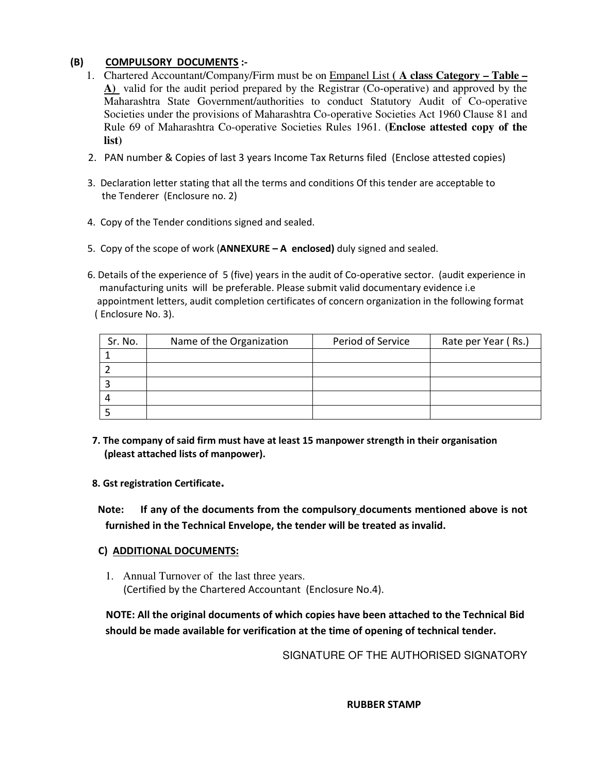### **(B) COMPULSORY DOCUMENTS :-**

- 1. Chartered Accountant/Company/Firm must be on Empanel List **( A class Category Table – A)** valid for the audit period prepared by the Registrar (Co-operative) and approved by the Maharashtra State Government/authorities to conduct Statutory Audit of Co-operative Societies under the provisions of Maharashtra Co-operative Societies Act 1960 Clause 81 and Rule 69 of Maharashtra Co-operative Societies Rules 1961. **(Enclose attested copy of the list)**
- 2. PAN number & Copies of last 3 years Income Tax Returns filed (Enclose attested copies)
- 3. Declaration letter stating that all the terms and conditions Of this tender are acceptable to the Tenderer (Enclosure no. 2)
- 4. Copy of the Tender conditions signed and sealed.
- 5. Copy of the scope of work (**ANNEXURE A enclosed)** duly signed and sealed.
- 6. Details of the experience of 5 (five) years in the audit of Co-operative sector. (audit experience in manufacturing units will be preferable. Please submit valid documentary evidence i.e appointment letters, audit completion certificates of concern organization in the following format ( Enclosure No. 3).

| Sr. No. | Name of the Organization | Period of Service | Rate per Year (Rs.) |
|---------|--------------------------|-------------------|---------------------|
|         |                          |                   |                     |
|         |                          |                   |                     |
|         |                          |                   |                     |
|         |                          |                   |                     |
|         |                          |                   |                     |

- **7. The company of said firm must have at least 15 manpower strength in their organisation (pleast attached lists of manpower).**
- **8. Gst registration Certificate.**
- **Note: If any of the documents from the compulsory documents mentioned above is not furnished in the Technical Envelope, the tender will be treated as invalid.**

#### **C) ADDITIONAL DOCUMENTS:**

1. Annual Turnover of the last three years. (Certified by the Chartered Accountant (Enclosure No.4).

 **NOTE: All the original documents of which copies have been attached to the Technical Bid should be made available for verification at the time of opening of technical tender.** 

SIGNATURE OF THE AUTHORISED SIGNATORY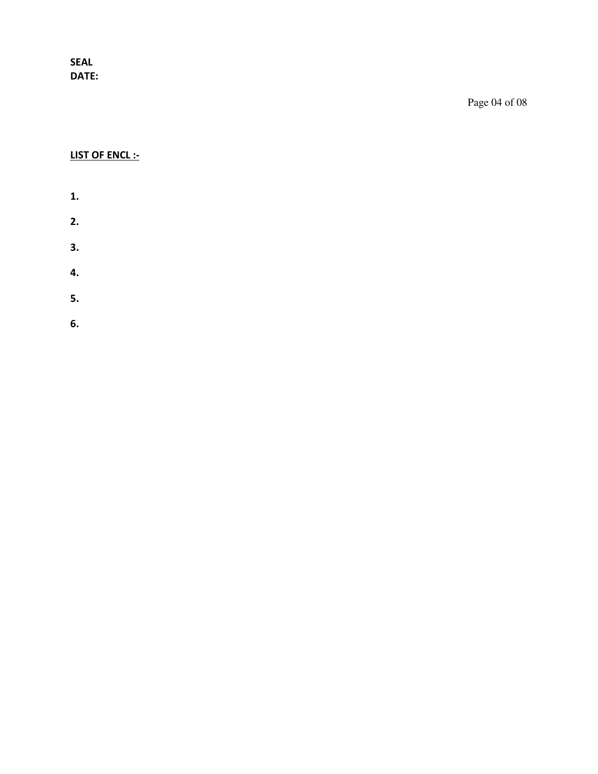**SEAL DATE:** 

Page 04 of 08

# **LIST OF ENCL :-**

- **1.**
- **2.**
- **3.**
- 
- **4.**
- **5.**
- **6.**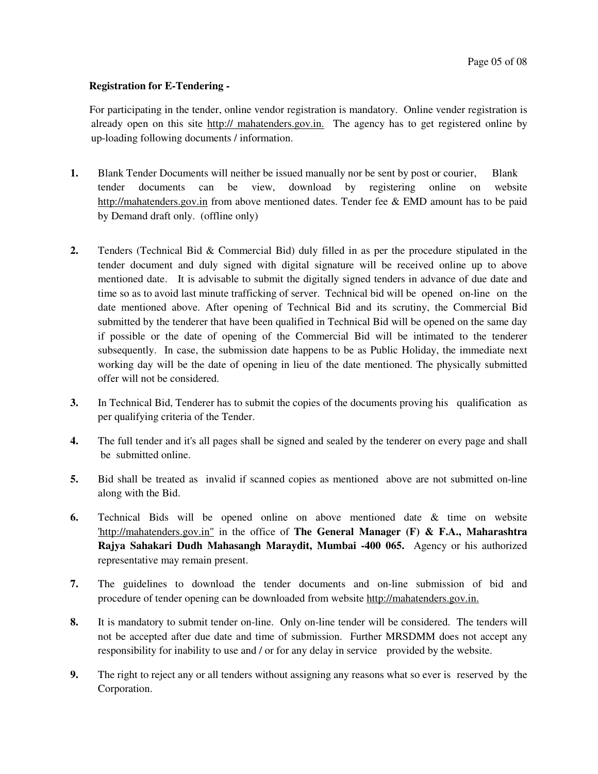#### **Registration for E-Tendering -**

 For participating in the tender, online vendor registration is mandatory. Online vender registration is already open on this site http:// mahatenders.gov.in. The agency has to get registered online by up-loading following documents / information.

- **1.** Blank Tender Documents will neither be issued manually nor be sent by post or courier, Blank tender documents can be view, download by registering online on website http://mahatenders.gov.in from above mentioned dates. Tender fee & EMD amount has to be paid by Demand draft only. (offline only)
- **2.** Tenders (Technical Bid & Commercial Bid) duly filled in as per the procedure stipulated in the tender document and duly signed with digital signature will be received online up to above mentioned date. It is advisable to submit the digitally signed tenders in advance of due date and time so as to avoid last minute trafficking of server. Technical bid will be opened on-line on the date mentioned above. After opening of Technical Bid and its scrutiny, the Commercial Bid submitted by the tenderer that have been qualified in Technical Bid will be opened on the same day if possible or the date of opening of the Commercial Bid will be intimated to the tenderer subsequently. In case, the submission date happens to be as Public Holiday, the immediate next working day will be the date of opening in lieu of the date mentioned. The physically submitted offer will not be considered.
- **3.** In Technical Bid, Tenderer has to submit the copies of the documents proving his qualification as per qualifying criteria of the Tender.
- **4.** The full tender and it's all pages shall be signed and sealed by the tenderer on every page and shall be submitted online.
- **5.** Bid shall be treated as invalid if scanned copies as mentioned above are not submitted on-line along with the Bid.
- **6.** Technical Bids will be opened online on above mentioned date & time on website 'http://mahatenders.gov.in" in the office of **The General Manager (F) & F.A., Maharashtra Rajya Sahakari Dudh Mahasangh Maraydit, Mumbai -400 065.** Agency or his authorized representative may remain present.
- **7.** The guidelines to download the tender documents and on-line submission of bid and procedure of tender opening can be downloaded from website http://mahatenders.gov.in.
- **8.** It is mandatory to submit tender on-line. Only on-line tender will be considered. The tenders will not be accepted after due date and time of submission. Further MRSDMM does not accept any responsibility for inability to use and / or for any delay in service provided by the website.
- **9.** The right to reject any or all tenders without assigning any reasons what so ever is reserved by the Corporation.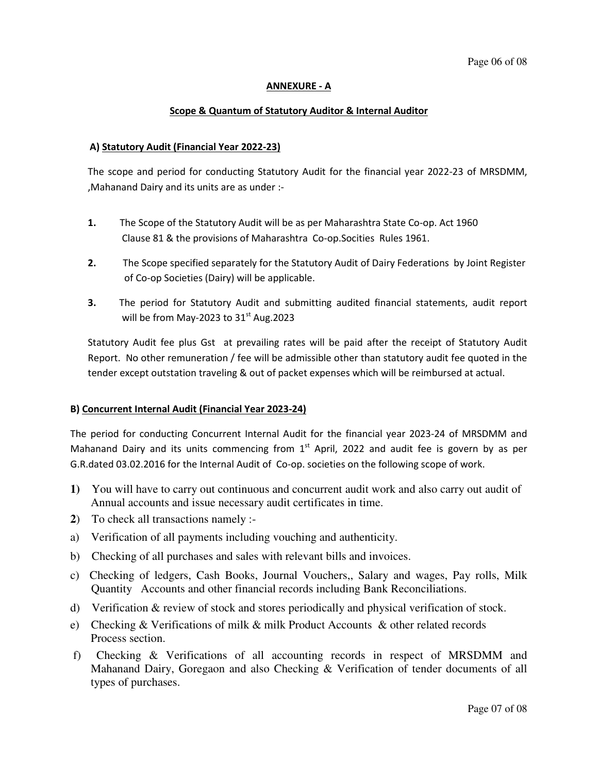#### **ANNEXURE - A**

#### **Scope & Quantum of Statutory Auditor & Internal Auditor**

#### **A) Statutory Audit (Financial Year 2022-23)**

The scope and period for conducting Statutory Audit for the financial year 2022-23 of MRSDMM, ,Mahanand Dairy and its units are as under :-

- **1.** The Scope of the Statutory Audit will be as per Maharashtra State Co-op. Act 1960 Clause 81 & the provisions of Maharashtra Co-op.Socities Rules 1961.
- **2.** The Scope specified separately for the Statutory Audit of Dairy Federations by Joint Register of Co-op Societies (Dairy) will be applicable.
- **3.** The period for Statutory Audit and submitting audited financial statements, audit report will be from May-2023 to  $31<sup>st</sup>$  Aug.2023

Statutory Audit fee plus Gst at prevailing rates will be paid after the receipt of Statutory Audit Report. No other remuneration / fee will be admissible other than statutory audit fee quoted in the tender except outstation traveling & out of packet expenses which will be reimbursed at actual.

#### **B) Concurrent Internal Audit (Financial Year 2023-24)**

The period for conducting Concurrent Internal Audit for the financial year 2023-24 of MRSDMM and Mahanand Dairy and its units commencing from  $1<sup>st</sup>$  April, 2022 and audit fee is govern by as per G.R.dated 03.02.2016 for the Internal Audit of Co-op. societies on the following scope of work.

- **1)** You will have to carry out continuous and concurrent audit work and also carry out audit of Annual accounts and issue necessary audit certificates in time.
- **2**) To check all transactions namely :-
- a) Verification of all payments including vouching and authenticity.
- b) Checking of all purchases and sales with relevant bills and invoices.
- c) Checking of ledgers, Cash Books, Journal Vouchers,, Salary and wages, Pay rolls, Milk Quantity Accounts and other financial records including Bank Reconciliations.
- d) Verification & review of stock and stores periodically and physical verification of stock.
- e) Checking & Verifications of milk & milk Product Accounts & other related records Process section.
- f) Checking & Verifications of all accounting records in respect of MRSDMM and Mahanand Dairy, Goregaon and also Checking & Verification of tender documents of all types of purchases.